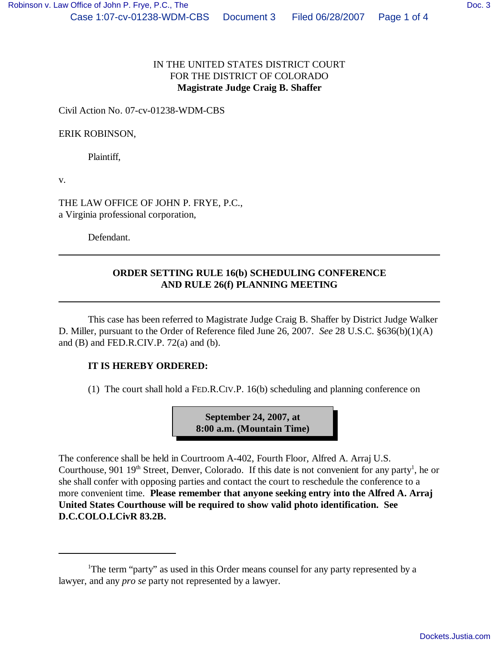## IN THE UNITED STATES DISTRICT COURT FOR THE DISTRICT OF COLORADO **Magistrate Judge Craig B. Shaffer**

Civil Action No. 07-cv-01238-WDM-CBS

ERIK ROBINSON,

Plaintiff,

v.

THE LAW OFFICE OF JOHN P. FRYE, P.C., a Virginia professional corporation,

Defendant.

## **ORDER SETTING RULE 16(b) SCHEDULING CONFERENCE AND RULE 26(f) PLANNING MEETING**

This case has been referred to Magistrate Judge Craig B. Shaffer by District Judge Walker D. Miller, pursuant to the Order of Reference filed June 26, 2007. *See* 28 U.S.C. §636(b)(1)(A) and  $(B)$  and FED.R.CIV.P. 72 $(a)$  and  $(b)$ .

## **IT IS HEREBY ORDERED:**

(1) The court shall hold a FED.R.CIV.P. 16(b) scheduling and planning conference on

**September 24, 2007, at 8:00 a.m. (Mountain Time)**

The conference shall be held in Courtroom A-402, Fourth Floor, Alfred A. Arraj U.S. Courthouse, 901  $19<sup>th</sup>$  Street, Denver, Colorado. If this date is not convenient for any party<sup>1</sup>, he or she shall confer with opposing parties and contact the court to reschedule the conference to a more convenient time. **Please remember that anyone seeking entry into the Alfred A. Arraj United States Courthouse will be required to show valid photo identification. See D.C.COLO.LCivR 83.2B.**

<sup>&</sup>lt;sup>1</sup>The term "party" as used in this Order means counsel for any party represented by a lawyer, and any *pro se* party not represented by a lawyer.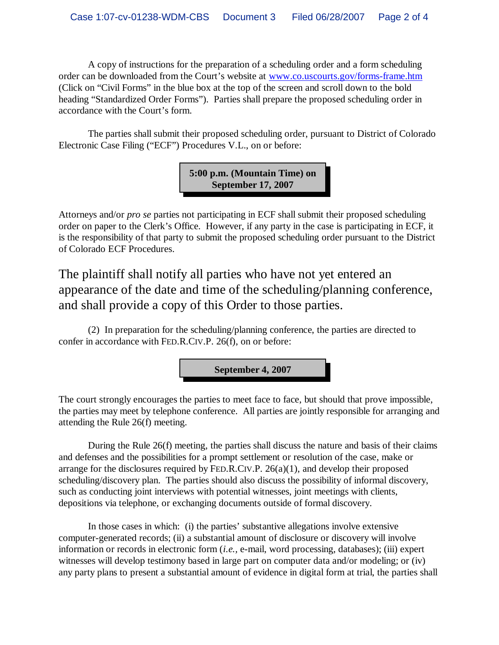A copy of instructions for the preparation of a scheduling order and a form scheduling order can be downloaded from the Court's website at www.co.uscourts.gov/forms-frame.htm (Click on "Civil Forms" in the blue box at the top of the screen and scroll down to the bold heading "Standardized Order Forms"). Parties shall prepare the proposed scheduling order in accordance with the Court's form.

The parties shall submit their proposed scheduling order, pursuant to District of Colorado Electronic Case Filing ("ECF") Procedures V.L., on or before:

> **5:00 p.m. (Mountain Time) on September 17, 2007**

Attorneys and/or *pro se* parties not participating in ECF shall submit their proposed scheduling order on paper to the Clerk's Office. However, if any party in the case is participating in ECF, it is the responsibility of that party to submit the proposed scheduling order pursuant to the District of Colorado ECF Procedures.

The plaintiff shall notify all parties who have not yet entered an appearance of the date and time of the scheduling/planning conference, and shall provide a copy of this Order to those parties.

(2) In preparation for the scheduling/planning conference, the parties are directed to confer in accordance with FED.R.CIV.P. 26(f), on or before:

**September 4, 2007**

The court strongly encourages the parties to meet face to face, but should that prove impossible, the parties may meet by telephone conference. All parties are jointly responsible for arranging and attending the Rule 26(f) meeting.

During the Rule 26(f) meeting, the parties shall discuss the nature and basis of their claims and defenses and the possibilities for a prompt settlement or resolution of the case, make or arrange for the disclosures required by FED.R.CIV.P. 26(a)(1), and develop their proposed scheduling/discovery plan. The parties should also discuss the possibility of informal discovery, such as conducting joint interviews with potential witnesses, joint meetings with clients, depositions via telephone, or exchanging documents outside of formal discovery.

In those cases in which: (i) the parties' substantive allegations involve extensive computer-generated records; (ii) a substantial amount of disclosure or discovery will involve information or records in electronic form (*i.e.,* e-mail, word processing, databases); (iii) expert witnesses will develop testimony based in large part on computer data and/or modeling; or (iv) any party plans to present a substantial amount of evidence in digital form at trial, the parties shall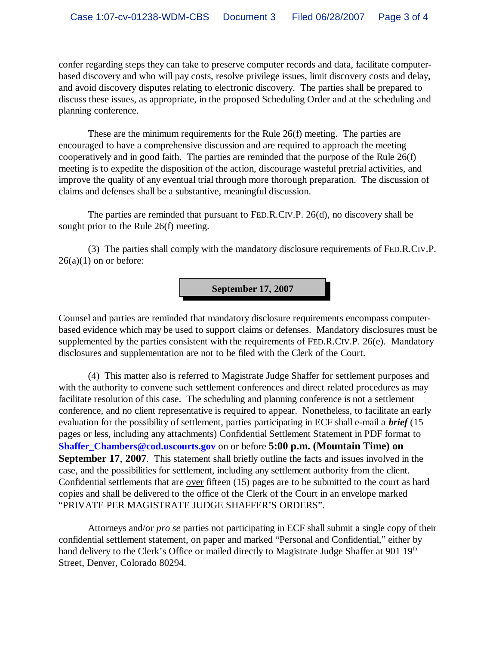confer regarding steps they can take to preserve computer records and data, facilitate computerbased discovery and who will pay costs, resolve privilege issues, limit discovery costs and delay, and avoid discovery disputes relating to electronic discovery. The parties shall be prepared to discuss these issues, as appropriate, in the proposed Scheduling Order and at the scheduling and planning conference.

These are the minimum requirements for the Rule 26(f) meeting. The parties are encouraged to have a comprehensive discussion and are required to approach the meeting cooperatively and in good faith. The parties are reminded that the purpose of the Rule 26(f) meeting is to expedite the disposition of the action, discourage wasteful pretrial activities, and improve the quality of any eventual trial through more thorough preparation. The discussion of claims and defenses shall be a substantive, meaningful discussion.

The parties are reminded that pursuant to FED.R.CIV.P. 26(d), no discovery shall be sought prior to the Rule 26(f) meeting.

(3) The parties shall comply with the mandatory disclosure requirements of FED.R.CIV.P.  $26(a)(1)$  on or before:

**September 17, 2007**

Counsel and parties are reminded that mandatory disclosure requirements encompass computerbased evidence which may be used to support claims or defenses. Mandatory disclosures must be supplemented by the parties consistent with the requirements of FED.R.CIV.P. 26(e). Mandatory disclosures and supplementation are not to be filed with the Clerk of the Court.

(4) This matter also is referred to Magistrate Judge Shaffer for settlement purposes and with the authority to convene such settlement conferences and direct related procedures as may facilitate resolution of this case. The scheduling and planning conference is not a settlement conference, and no client representative is required to appear. Nonetheless, to facilitate an early evaluation for the possibility of settlement, parties participating in ECF shall e-mail a *brief* (15 pages or less, including any attachments) Confidential Settlement Statement in PDF format to **Shaffer\_Chambers@cod.uscourts.gov** on or before **5:00 p.m. (Mountain Time) on September 17**, **2007**. This statement shall briefly outline the facts and issues involved in the case, and the possibilities for settlement, including any settlement authority from the client. Confidential settlements that are <u>over</u> fifteen (15) pages are to be submitted to the court as hard copies and shall be delivered to the office of the Clerk of the Court in an envelope marked "PRIVATE PER MAGISTRATE JUDGE SHAFFER'S ORDERS".

Attorneys and/or *pro se* parties not participating in ECF shall submit a single copy of their confidential settlement statement, on paper and marked "Personal and Confidential," either by hand delivery to the Clerk's Office or mailed directly to Magistrate Judge Shaffer at 901 19<sup>th</sup> Street, Denver, Colorado 80294.